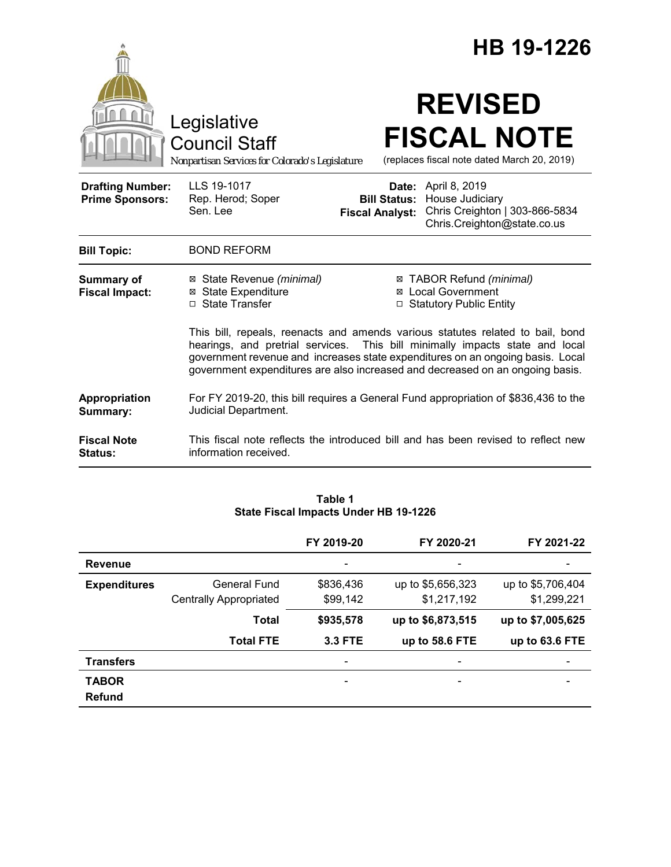|                                                   |                                                                                                                                                                                                                                                                                                                                   | HB 19-1226                                                                                                                                                      |  |  |
|---------------------------------------------------|-----------------------------------------------------------------------------------------------------------------------------------------------------------------------------------------------------------------------------------------------------------------------------------------------------------------------------------|-----------------------------------------------------------------------------------------------------------------------------------------------------------------|--|--|
|                                                   | Legislative<br><b>Council Staff</b><br>Nonpartisan Services for Colorado's Legislature                                                                                                                                                                                                                                            | <b>REVISED</b><br><b>FISCAL NOTE</b><br>(replaces fiscal note dated March 20, 2019)                                                                             |  |  |
| <b>Drafting Number:</b><br><b>Prime Sponsors:</b> | LLS 19-1017<br>Rep. Herod; Soper<br>Sen. Lee                                                                                                                                                                                                                                                                                      | <b>Date:</b> April 8, 2019<br>House Judiciary<br><b>Bill Status:</b><br>Chris Creighton   303-866-5834<br><b>Fiscal Analyst:</b><br>Chris.Creighton@state.co.us |  |  |
| <b>Bill Topic:</b>                                | <b>BOND REFORM</b>                                                                                                                                                                                                                                                                                                                |                                                                                                                                                                 |  |  |
| Summary of<br><b>Fiscal Impact:</b>               | State Revenue (minimal)<br>⊠<br><b>State Expenditure</b><br>⊠<br>□ State Transfer                                                                                                                                                                                                                                                 | ⊠ TABOR Refund (minimal)<br>⊠ Local Government<br>□ Statutory Public Entity                                                                                     |  |  |
|                                                   | This bill, repeals, reenacts and amends various statutes related to bail, bond<br>hearings, and pretrial services. This bill minimally impacts state and local<br>government revenue and increases state expenditures on an ongoing basis. Local<br>government expenditures are also increased and decreased on an ongoing basis. |                                                                                                                                                                 |  |  |
| Appropriation<br>Summary:                         | For FY 2019-20, this bill requires a General Fund appropriation of \$836,436 to the<br>Judicial Department.                                                                                                                                                                                                                       |                                                                                                                                                                 |  |  |
| <b>Fiscal Note</b><br><b>Status:</b>              | information received.                                                                                                                                                                                                                                                                                                             | This fiscal note reflects the introduced bill and has been revised to reflect new                                                                               |  |  |

|                     | $5.440$ $1.000$ $1.11$ $1.0000$ $0.1001$ $1.001$ $1.000$ |                |                              |                              |  |  |
|---------------------|----------------------------------------------------------|----------------|------------------------------|------------------------------|--|--|
|                     |                                                          | FY 2019-20     | FY 2020-21                   | FY 2021-22                   |  |  |
| <b>Revenue</b>      |                                                          |                |                              |                              |  |  |
| <b>Expenditures</b> | General Fund                                             | \$836,436      | up to \$5,656,323            | up to \$5,706,404            |  |  |
|                     | <b>Centrally Appropriated</b>                            | \$99,142       | \$1,217,192                  | \$1,299,221                  |  |  |
|                     | <b>Total</b>                                             | \$935,578      | up to \$6,873,515            | up to \$7,005,625            |  |  |
|                     | <b>Total FTE</b>                                         | <b>3.3 FTE</b> | up to 58.6 FTE               | up to 63.6 FTE               |  |  |
| <b>Transfers</b>    |                                                          | -              | $\overline{a}$               |                              |  |  |
| <b>TABOR</b>        |                                                          | -              | $\qquad \qquad \blacksquare$ | $\qquad \qquad \blacksquare$ |  |  |
| Refund              |                                                          |                |                              |                              |  |  |

### **Table 1 State Fiscal Impacts Under HB 19-1226**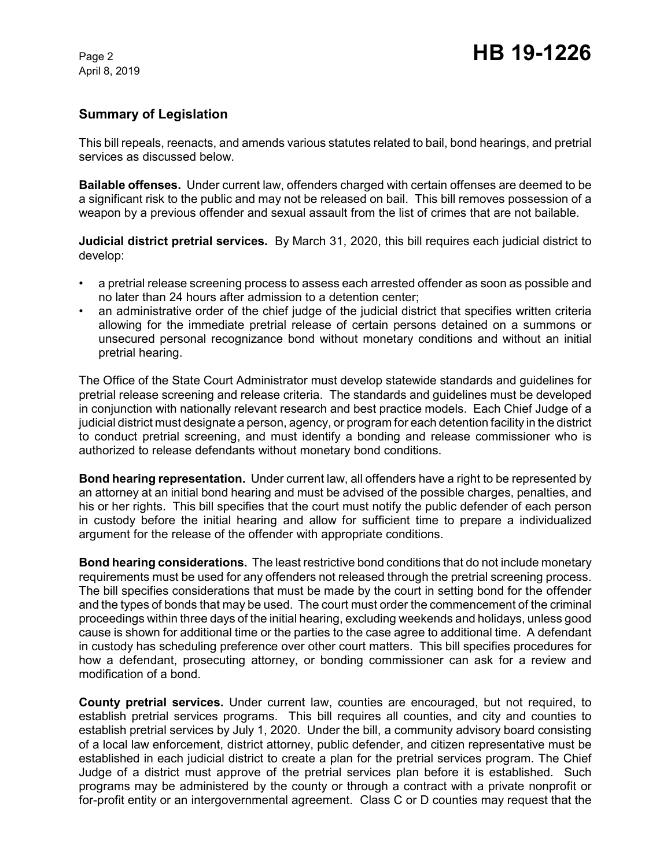# **Summary of Legislation**

This bill repeals, reenacts, and amends various statutes related to bail, bond hearings, and pretrial services as discussed below.

**Bailable offenses.** Under current law, offenders charged with certain offenses are deemed to be a significant risk to the public and may not be released on bail. This bill removes possession of a weapon by a previous offender and sexual assault from the list of crimes that are not bailable.

**Judicial district pretrial services.** By March 31, 2020, this bill requires each judicial district to develop:

- a pretrial release screening process to assess each arrested offender as soon as possible and no later than 24 hours after admission to a detention center;
- an administrative order of the chief judge of the judicial district that specifies written criteria allowing for the immediate pretrial release of certain persons detained on a summons or unsecured personal recognizance bond without monetary conditions and without an initial pretrial hearing.

The Office of the State Court Administrator must develop statewide standards and guidelines for pretrial release screening and release criteria. The standards and guidelines must be developed in conjunction with nationally relevant research and best practice models. Each Chief Judge of a judicial district must designate a person, agency, or program for each detention facility in the district to conduct pretrial screening, and must identify a bonding and release commissioner who is authorized to release defendants without monetary bond conditions.

**Bond hearing representation.** Under current law, all offenders have a right to be represented by an attorney at an initial bond hearing and must be advised of the possible charges, penalties, and his or her rights. This bill specifies that the court must notify the public defender of each person in custody before the initial hearing and allow for sufficient time to prepare a individualized argument for the release of the offender with appropriate conditions.

**Bond hearing considerations.** The least restrictive bond conditions that do not include monetary requirements must be used for any offenders not released through the pretrial screening process. The bill specifies considerations that must be made by the court in setting bond for the offender and the types of bonds that may be used. The court must order the commencement of the criminal proceedings within three days of the initial hearing, excluding weekends and holidays, unless good cause is shown for additional time or the parties to the case agree to additional time. A defendant in custody has scheduling preference over other court matters. This bill specifies procedures for how a defendant, prosecuting attorney, or bonding commissioner can ask for a review and modification of a bond.

**County pretrial services.** Under current law, counties are encouraged, but not required, to establish pretrial services programs. This bill requires all counties, and city and counties to establish pretrial services by July 1, 2020. Under the bill, a community advisory board consisting of a local law enforcement, district attorney, public defender, and citizen representative must be established in each judicial district to create a plan for the pretrial services program. The Chief Judge of a district must approve of the pretrial services plan before it is established. Such programs may be administered by the county or through a contract with a private nonprofit or for-profit entity or an intergovernmental agreement. Class C or D counties may request that the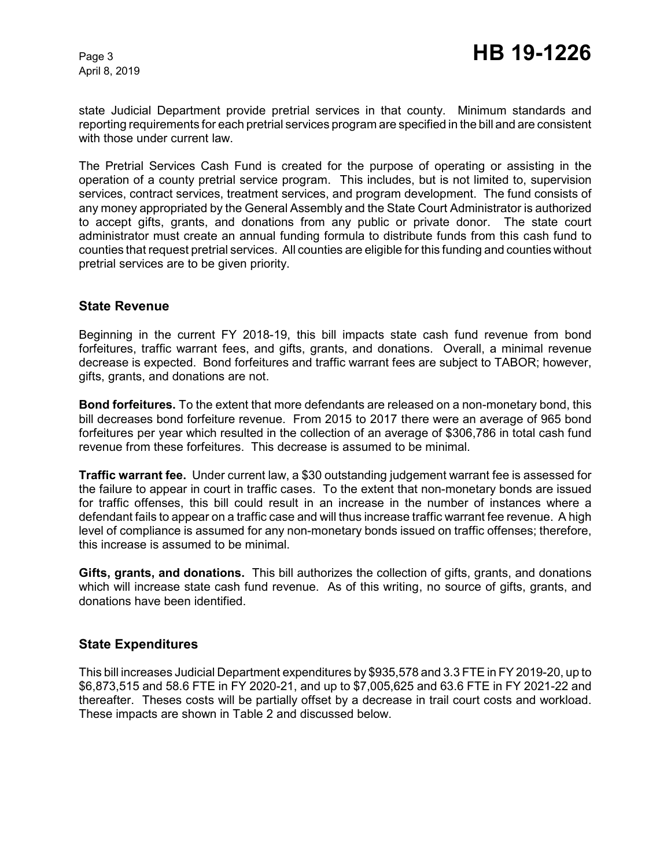state Judicial Department provide pretrial services in that county. Minimum standards and reporting requirements for each pretrial services program are specified in the bill and are consistent with those under current law.

The Pretrial Services Cash Fund is created for the purpose of operating or assisting in the operation of a county pretrial service program. This includes, but is not limited to, supervision services, contract services, treatment services, and program development. The fund consists of any money appropriated by the General Assembly and the State Court Administrator is authorized to accept gifts, grants, and donations from any public or private donor. The state court administrator must create an annual funding formula to distribute funds from this cash fund to counties that request pretrial services. All counties are eligible for this funding and counties without pretrial services are to be given priority.

## **State Revenue**

Beginning in the current FY 2018-19, this bill impacts state cash fund revenue from bond forfeitures, traffic warrant fees, and gifts, grants, and donations. Overall, a minimal revenue decrease is expected. Bond forfeitures and traffic warrant fees are subject to TABOR; however, gifts, grants, and donations are not.

**Bond forfeitures.** To the extent that more defendants are released on a non-monetary bond, this bill decreases bond forfeiture revenue. From 2015 to 2017 there were an average of 965 bond forfeitures per year which resulted in the collection of an average of \$306,786 in total cash fund revenue from these forfeitures. This decrease is assumed to be minimal.

**Traffic warrant fee.** Under current law, a \$30 outstanding judgement warrant fee is assessed for the failure to appear in court in traffic cases. To the extent that non-monetary bonds are issued for traffic offenses, this bill could result in an increase in the number of instances where a defendant fails to appear on a traffic case and will thus increase traffic warrant fee revenue. A high level of compliance is assumed for any non-monetary bonds issued on traffic offenses; therefore, this increase is assumed to be minimal.

**Gifts, grants, and donations.** This bill authorizes the collection of gifts, grants, and donations which will increase state cash fund revenue. As of this writing, no source of gifts, grants, and donations have been identified.

## **State Expenditures**

This bill increases Judicial Department expenditures by \$935,578 and 3.3 FTE in FY 2019-20, up to \$6,873,515 and 58.6 FTE in FY 2020-21, and up to \$7,005,625 and 63.6 FTE in FY 2021-22 and thereafter. Theses costs will be partially offset by a decrease in trail court costs and workload. These impacts are shown in Table 2 and discussed below.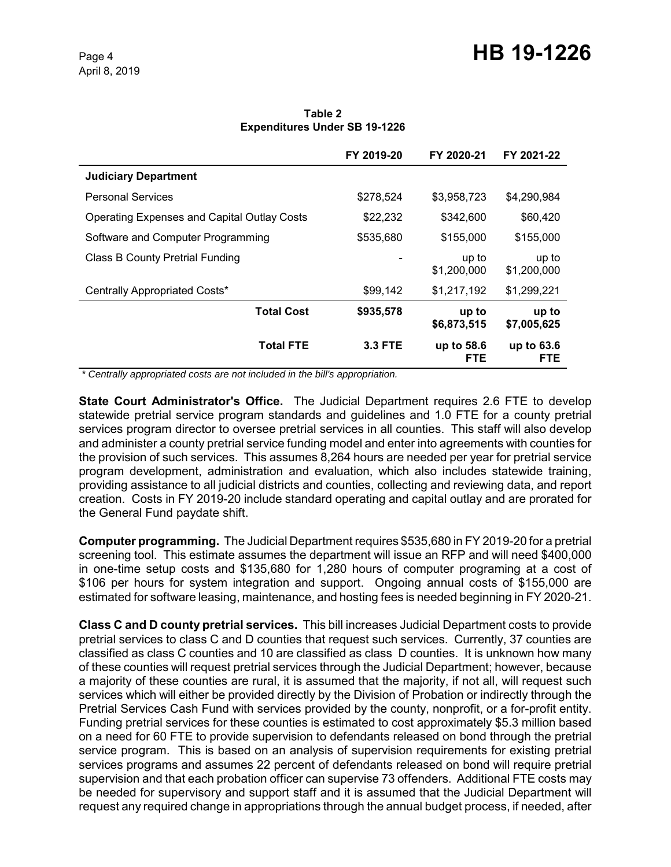**Table 2 Expenditures Under SB 19-1226**

|                                                    | FY 2019-20     | FY 2020-21               | FY 2021-22           |
|----------------------------------------------------|----------------|--------------------------|----------------------|
| <b>Judiciary Department</b>                        |                |                          |                      |
| <b>Personal Services</b>                           | \$278,524      | \$3,958,723              | \$4,290,984          |
| <b>Operating Expenses and Capital Outlay Costs</b> | \$22,232       | \$342,600                | \$60,420             |
| Software and Computer Programming                  | \$535,680      | \$155,000                | \$155,000            |
| <b>Class B County Pretrial Funding</b>             |                | up to<br>\$1,200,000     | up to<br>\$1,200,000 |
| Centrally Appropriated Costs*                      | \$99,142       | \$1,217,192              | \$1,299,221          |
| <b>Total Cost</b>                                  | \$935,578      | up to<br>\$6,873,515     | up to<br>\$7,005,625 |
| <b>Total FTE</b>                                   | <b>3.3 FTE</b> | up to 58.6<br><b>FTE</b> | up to 63.6<br>FTE    |

 *\* Centrally appropriated costs are not included in the bill's appropriation.*

**State Court Administrator's Office.** The Judicial Department requires 2.6 FTE to develop statewide pretrial service program standards and guidelines and 1.0 FTE for a county pretrial services program director to oversee pretrial services in all counties. This staff will also develop and administer a county pretrial service funding model and enter into agreements with counties for the provision of such services. This assumes 8,264 hours are needed per year for pretrial service program development, administration and evaluation, which also includes statewide training, providing assistance to all judicial districts and counties, collecting and reviewing data, and report creation. Costs in FY 2019-20 include standard operating and capital outlay and are prorated for the General Fund paydate shift.

**Computer programming.** The Judicial Department requires \$535,680 in FY 2019-20 for a pretrial screening tool. This estimate assumes the department will issue an RFP and will need \$400,000 in one-time setup costs and \$135,680 for 1,280 hours of computer programing at a cost of \$106 per hours for system integration and support. Ongoing annual costs of \$155,000 are estimated for software leasing, maintenance, and hosting fees is needed beginning in FY 2020-21.

**Class C and D county pretrial services.** This bill increases Judicial Department costs to provide pretrial services to class C and D counties that request such services. Currently, 37 counties are classified as class C counties and 10 are classified as class D counties. It is unknown how many of these counties will request pretrial services through the Judicial Department; however, because a majority of these counties are rural, it is assumed that the majority, if not all, will request such services which will either be provided directly by the Division of Probation or indirectly through the Pretrial Services Cash Fund with services provided by the county, nonprofit, or a for-profit entity. Funding pretrial services for these counties is estimated to cost approximately \$5.3 million based on a need for 60 FTE to provide supervision to defendants released on bond through the pretrial service program. This is based on an analysis of supervision requirements for existing pretrial services programs and assumes 22 percent of defendants released on bond will require pretrial supervision and that each probation officer can supervise 73 offenders. Additional FTE costs may be needed for supervisory and support staff and it is assumed that the Judicial Department will request any required change in appropriations through the annual budget process, if needed, after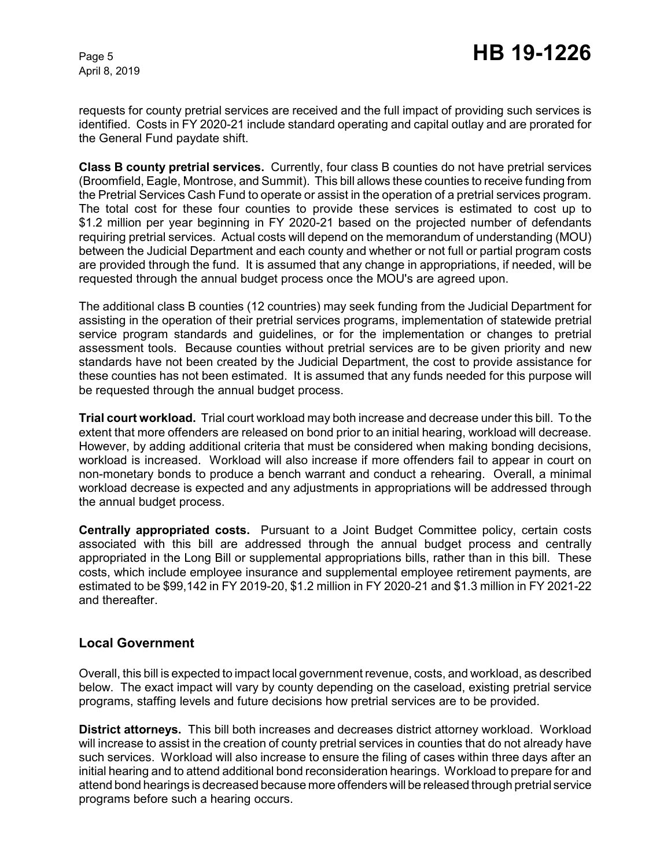requests for county pretrial services are received and the full impact of providing such services is identified. Costs in FY 2020-21 include standard operating and capital outlay and are prorated for the General Fund paydate shift.

**Class B county pretrial services.** Currently, four class B counties do not have pretrial services (Broomfield, Eagle, Montrose, and Summit). This bill allows these counties to receive funding from the Pretrial Services Cash Fund to operate or assist in the operation of a pretrial services program. The total cost for these four counties to provide these services is estimated to cost up to \$1.2 million per year beginning in FY 2020-21 based on the projected number of defendants requiring pretrial services. Actual costs will depend on the memorandum of understanding (MOU) between the Judicial Department and each county and whether or not full or partial program costs are provided through the fund. It is assumed that any change in appropriations, if needed, will be requested through the annual budget process once the MOU's are agreed upon.

The additional class B counties (12 countries) may seek funding from the Judicial Department for assisting in the operation of their pretrial services programs, implementation of statewide pretrial service program standards and guidelines, or for the implementation or changes to pretrial assessment tools. Because counties without pretrial services are to be given priority and new standards have not been created by the Judicial Department, the cost to provide assistance for these counties has not been estimated. It is assumed that any funds needed for this purpose will be requested through the annual budget process.

**Trial court workload.** Trial court workload may both increase and decrease under this bill. To the extent that more offenders are released on bond prior to an initial hearing, workload will decrease. However, by adding additional criteria that must be considered when making bonding decisions, workload is increased. Workload will also increase if more offenders fail to appear in court on non-monetary bonds to produce a bench warrant and conduct a rehearing. Overall, a minimal workload decrease is expected and any adjustments in appropriations will be addressed through the annual budget process.

**Centrally appropriated costs.** Pursuant to a Joint Budget Committee policy, certain costs associated with this bill are addressed through the annual budget process and centrally appropriated in the Long Bill or supplemental appropriations bills, rather than in this bill. These costs, which include employee insurance and supplemental employee retirement payments, are estimated to be \$99,142 in FY 2019-20, \$1.2 million in FY 2020-21 and \$1.3 million in FY 2021-22 and thereafter.

## **Local Government**

Overall, this bill is expected to impact local government revenue, costs, and workload, as described below. The exact impact will vary by county depending on the caseload, existing pretrial service programs, staffing levels and future decisions how pretrial services are to be provided.

**District attorneys.** This bill both increases and decreases district attorney workload. Workload will increase to assist in the creation of county pretrial services in counties that do not already have such services. Workload will also increase to ensure the filing of cases within three days after an initial hearing and to attend additional bond reconsideration hearings. Workload to prepare for and attend bond hearings is decreased because more offenders will be released through pretrial service programs before such a hearing occurs.